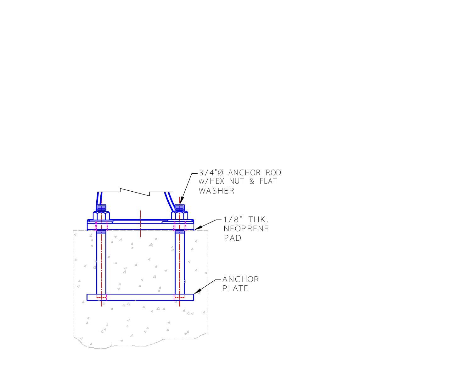